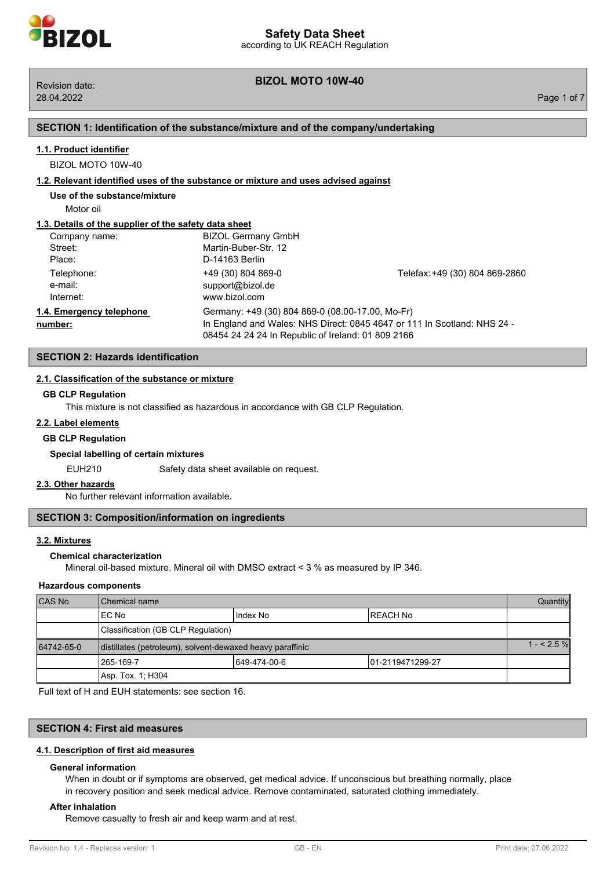# **BIZOL MOTO 10W-40** Revision date:

## **SECTION 1: Identification of the substance/mixture and of the company/undertaking**

## **1.1. Product identifier**

BIZOL MOTO 10W-40

#### **1.2. Relevant identified uses of the substance or mixture and uses advised against**

**Use of the substance/mixture**

Motor oil

## **1.3. Details of the supplier of the safety data sheet**

| Company name:                       | <b>BIZOL Germany GmbH</b>                                                                                                                                                          |                                |
|-------------------------------------|------------------------------------------------------------------------------------------------------------------------------------------------------------------------------------|--------------------------------|
| Street:                             | Martin-Buber-Str. 12                                                                                                                                                               |                                |
| Place:                              | D-14163 Berlin                                                                                                                                                                     |                                |
| Telephone:<br>e-mail:<br>Internet:  | +49 (30) 804 869-0<br>support@bizol.de<br>www.bizol.com                                                                                                                            | Telefax: +49 (30) 804 869-2860 |
| 1.4. Emergency telephone<br>number: | Germany: +49 (30) 804 869-0 (08.00-17.00, Mo-Fr)<br>In England and Wales: NHS Direct: 0845 4647 or 111 In Scotland: NHS 24 -<br>08454 24 24 24 In Republic of Ireland: 01 809 2166 |                                |

## **SECTION 2: Hazards identification**

## **2.1. Classification of the substance or mixture**

#### **GB CLP Regulation**

This mixture is not classified as hazardous in accordance with GB CLP Regulation.

## **2.2. Label elements**

#### **GB CLP Regulation**

#### **Special labelling of certain mixtures**

EUH210 Safety data sheet available on request.

#### **2.3. Other hazards**

No further relevant information available.

## **SECTION 3: Composition/information on ingredients**

#### **3.2. Mixtures**

## **Chemical characterization**

Mineral oil-based mixture. Mineral oil with DMSO extract < 3 % as measured by IP 346.

## **Hazardous components**

| <b>CAS No</b> | <b>I</b> Chemical name                                    |              | <b>Quantity</b>   |  |
|---------------|-----------------------------------------------------------|--------------|-------------------|--|
|               | IEC No                                                    | Index No     | IREACH No         |  |
|               | Classification (GB CLP Regulation)                        |              |                   |  |
| 64742-65-0    | distillates (petroleum), solvent-dewaxed heavy paraffinic |              | $1 - 2.5%$        |  |
|               | 1265-169-7                                                | 649-474-00-6 | 101-2119471299-27 |  |
|               | Asp. Tox. 1: H304                                         |              |                   |  |

Full text of H and EUH statements: see section 16.

## **SECTION 4: First aid measures**

#### **4.1. Description of first aid measures**

#### **General information**

When in doubt or if symptoms are observed, get medical advice. If unconscious but breathing normally, place in recovery position and seek medical advice. Remove contaminated, saturated clothing immediately.

#### **After inhalation**

Remove casualty to fresh air and keep warm and at rest.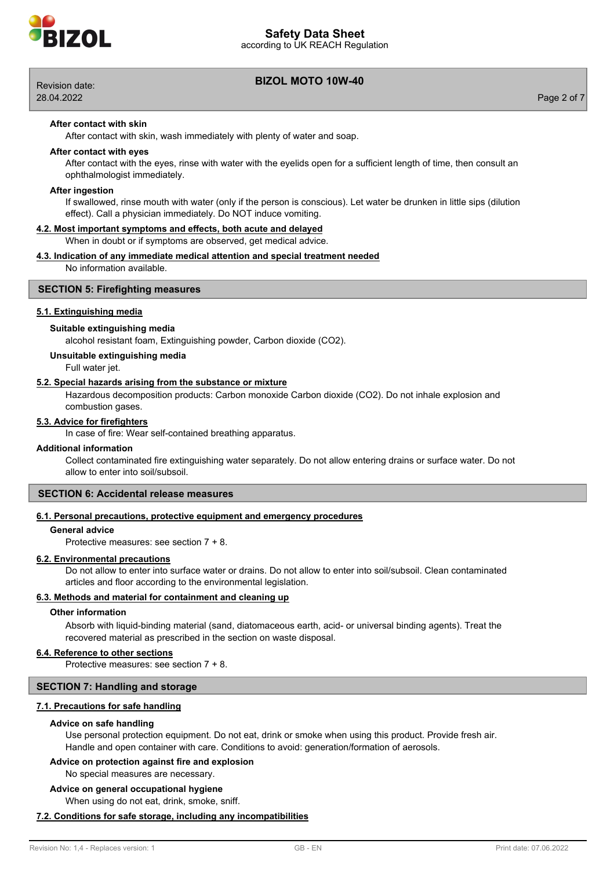

according to UK REACH Regulation



28.04.2022 Page 2 of 7

# **BIZOL MOTO 10W-40** Revision date:

## **After contact with skin**

After contact with skin, wash immediately with plenty of water and soap.

## **After contact with eyes**

After contact with the eyes, rinse with water with the eyelids open for a sufficient length of time, then consult an ophthalmologist immediately.

#### **After ingestion**

If swallowed, rinse mouth with water (only if the person is conscious). Let water be drunken in little sips (dilution effect). Call a physician immediately. Do NOT induce vomiting.

#### **4.2. Most important symptoms and effects, both acute and delayed**

When in doubt or if symptoms are observed, get medical advice.

## **4.3. Indication of any immediate medical attention and special treatment needed**

No information available.

## **SECTION 5: Firefighting measures**

## **5.1. Extinguishing media**

## **Suitable extinguishing media**

alcohol resistant foam, Extinguishing powder, Carbon dioxide (CO2).

## **Unsuitable extinguishing media**

Full water jet.

#### **5.2. Special hazards arising from the substance or mixture**

Hazardous decomposition products: Carbon monoxide Carbon dioxide (CO2). Do not inhale explosion and combustion gases.

#### **5.3. Advice for firefighters**

In case of fire: Wear self-contained breathing apparatus.

#### **Additional information**

Collect contaminated fire extinguishing water separately. Do not allow entering drains or surface water. Do not allow to enter into soil/subsoil.

# **SECTION 6: Accidental release measures**

## **6.1. Personal precautions, protective equipment and emergency procedures**

## **General advice**

Protective measures: see section 7 + 8.

#### **6.2. Environmental precautions**

Do not allow to enter into surface water or drains. Do not allow to enter into soil/subsoil. Clean contaminated articles and floor according to the environmental legislation.

## **6.3. Methods and material for containment and cleaning up**

#### **Other information**

Absorb with liquid-binding material (sand, diatomaceous earth, acid- or universal binding agents). Treat the recovered material as prescribed in the section on waste disposal.

#### **6.4. Reference to other sections**

Protective measures: see section 7 + 8.

#### **SECTION 7: Handling and storage**

#### **7.1. Precautions for safe handling**

#### **Advice on safe handling**

Use personal protection equipment. Do not eat, drink or smoke when using this product. Provide fresh air. Handle and open container with care. Conditions to avoid: generation/formation of aerosols.

## **Advice on protection against fire and explosion**

No special measures are necessary.

## **Advice on general occupational hygiene**

When using do not eat, drink, smoke, sniff.

#### **7.2. Conditions for safe storage, including any incompatibilities**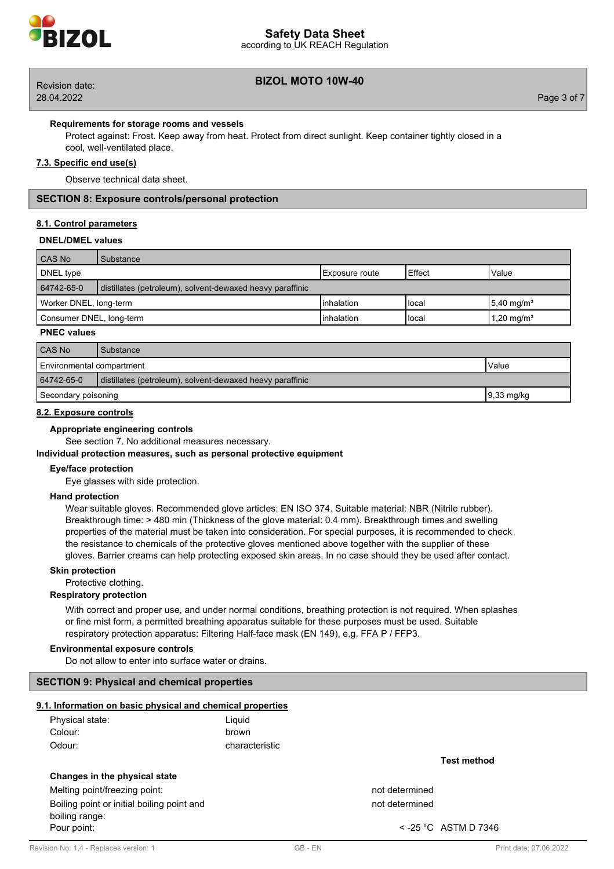

# according to UK REACH Regulation **Safety Data Sheet**

28.04.2022 Page 3 of 7

# **BIZOL MOTO 10W-40** Revision date:

## **Requirements for storage rooms and vessels**

Protect against: Frost. Keep away from heat. Protect from direct sunlight. Keep container tightly closed in a cool, well-ventilated place.

## **7.3. Specific end use(s)**

Observe technical data sheet.

## **SECTION 8: Exposure controls/personal protection**

## **8.1. Control parameters**

## **DNEL/DMEL values**

| CAS No                                                                     | Substance |                        |        |                           |
|----------------------------------------------------------------------------|-----------|------------------------|--------|---------------------------|
| DNEL type                                                                  |           | <b>IExposure</b> route | Effect | Value                     |
| 64742-65-0<br>distillates (petroleum), solvent-dewaxed heavy paraffinic    |           |                        |        |                           |
| Worker DNEL, long-term                                                     |           | Iinhalation            | Hocal  | $15.40$ mg/m <sup>3</sup> |
| 1,20 mg/m <sup>3</sup><br>Consumer DNEL, long-term<br>Iinhalation<br>Hocal |           |                        |        |                           |

## **PNEC values**

| CAS No                                                                  | Substance |  |
|-------------------------------------------------------------------------|-----------|--|
| Environmental compartment<br>Value                                      |           |  |
| 64742-65-0<br>distillates (petroleum), solvent-dewaxed heavy paraffinic |           |  |
| $9,33 \text{ mg/kg}$<br>Secondary poisoning                             |           |  |

## **8.2. Exposure controls**

## **Appropriate engineering controls**

See section 7. No additional measures necessary.

## **Individual protection measures, such as personal protective equipment**

## **Eye/face protection**

Eye glasses with side protection.

# **Hand protection**

Wear suitable gloves. Recommended glove articles: EN ISO 374. Suitable material: NBR (Nitrile rubber). Breakthrough time: > 480 min (Thickness of the glove material: 0.4 mm). Breakthrough times and swelling properties of the material must be taken into consideration. For special purposes, it is recommended to check the resistance to chemicals of the protective gloves mentioned above together with the supplier of these gloves. Barrier creams can help protecting exposed skin areas. In no case should they be used after contact.

#### **Skin protection**

Protective clothing.

# **Respiratory protection**

With correct and proper use, and under normal conditions, breathing protection is not required. When splashes or fine mist form, a permitted breathing apparatus suitable for these purposes must be used. Suitable respiratory protection apparatus: Filtering Half-face mask (EN 149), e.g. FFA P / FFP3.

## **Environmental exposure controls**

Do not allow to enter into surface water or drains.

## **SECTION 9: Physical and chemical properties**

## **9.1. Information on basic physical and chemical properties**

| Physical state: | Liquid         |
|-----------------|----------------|
| Colour:         | brown          |
| Odour:          | characteristic |

## **Changes in the physical state**

Melting point/freezing point: not determined

Boiling point or initial boiling point and not determined not determined boiling range: Pour point:  $\sim$  -25 °C ASTM D 7346

**Test method**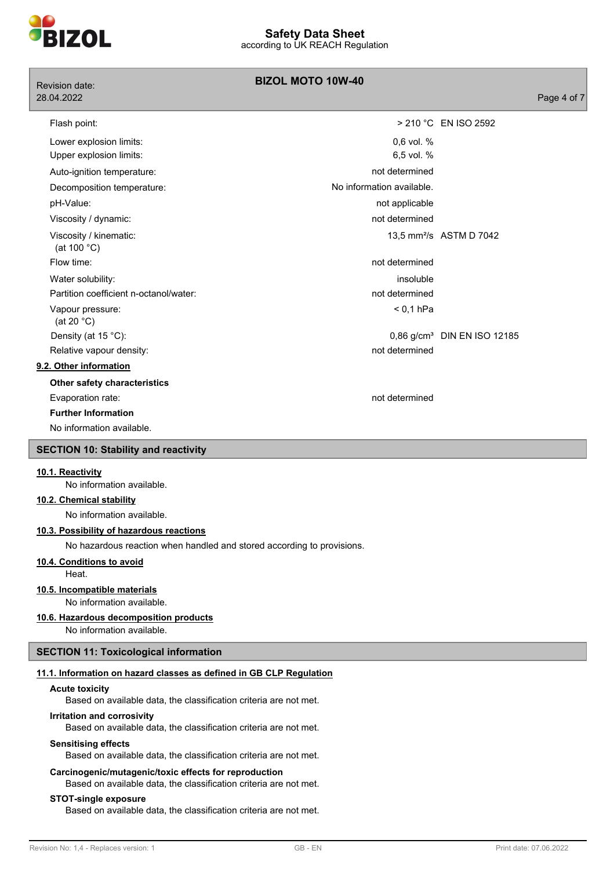

| Revision date:                              | <b>BIZOL MOTO 10W-40</b>  |                                         |
|---------------------------------------------|---------------------------|-----------------------------------------|
| 28.04.2022                                  |                           | Page 4 of 7                             |
| Flash point:                                |                           | > 210 °C EN ISO 2592                    |
| Lower explosion limits:                     | 0,6 vol. %                |                                         |
| Upper explosion limits:                     | 6,5 vol. %                |                                         |
| Auto-ignition temperature:                  | not determined            |                                         |
| Decomposition temperature:                  | No information available. |                                         |
| pH-Value:                                   | not applicable            |                                         |
| Viscosity / dynamic:                        | not determined            |                                         |
| Viscosity / kinematic:<br>(at 100 $°C$ )    |                           | 13,5 mm <sup>2</sup> /s ASTM D 7042     |
| Flow time:                                  | not determined            |                                         |
| Water solubility:                           | insoluble                 |                                         |
| Partition coefficient n-octanol/water:      | not determined            |                                         |
| Vapour pressure:<br>(at 20 $°C$ )           | $< 0.1$ hPa               |                                         |
| Density (at 15 °C):                         |                           | 0,86 g/cm <sup>3</sup> DIN EN ISO 12185 |
| Relative vapour density:                    | not determined            |                                         |
| 9.2. Other information                      |                           |                                         |
| Other safety characteristics                |                           |                                         |
| Evaporation rate:                           | not determined            |                                         |
| <b>Further Information</b>                  |                           |                                         |
| No information available.                   |                           |                                         |
| <b>SECTION 10: Stability and reactivity</b> |                           |                                         |
| 10.1. Reactivity                            |                           |                                         |

No information available.

## **10.2. Chemical stability**

No information available.

#### **10.3. Possibility of hazardous reactions**

No hazardous reaction when handled and stored according to provisions.

## **10.4. Conditions to avoid**

Heat.

#### **10.5. Incompatible materials**

No information available.

## **10.6. Hazardous decomposition products**

No information available.

## **SECTION 11: Toxicological information**

## **11.1. Information on hazard classes as defined in GB CLP Regulation**

#### **Acute toxicity**

Based on available data, the classification criteria are not met.

## **Irritation and corrosivity**

Based on available data, the classification criteria are not met.

#### **Sensitising effects**

Based on available data, the classification criteria are not met.

#### **Carcinogenic/mutagenic/toxic effects for reproduction**

Based on available data, the classification criteria are not met.

#### **STOT-single exposure**

Based on available data, the classification criteria are not met.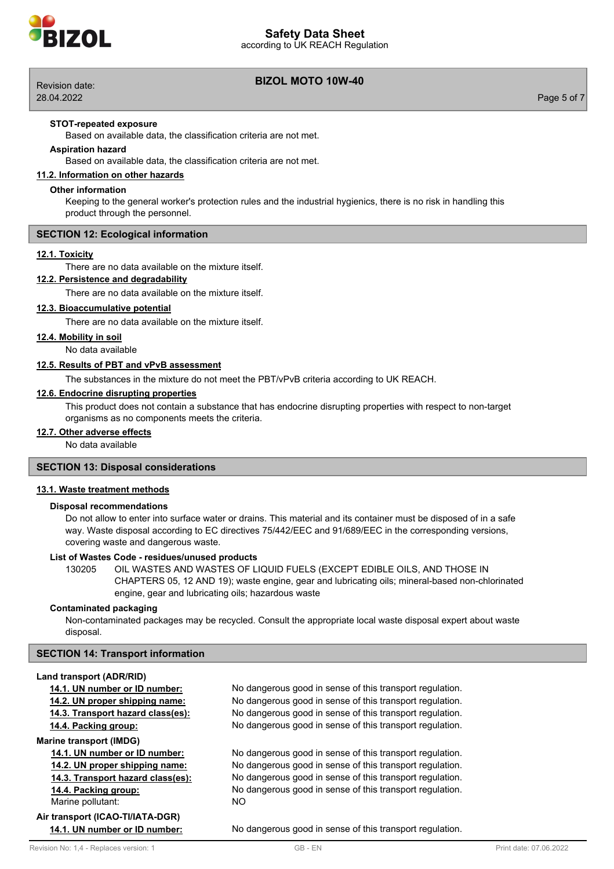

according to UK REACH Regulation



28.04.2022 Page 5 of 7

## **BIZOL MOTO 10W-40** Revision date:

## **STOT-repeated exposure**

Based on available data, the classification criteria are not met.

## **Aspiration hazard**

Based on available data, the classification criteria are not met.

## **11.2. Information on other hazards**

## **Other information**

Keeping to the general worker's protection rules and the industrial hygienics, there is no risk in handling this product through the personnel.

## **SECTION 12: Ecological information**

## **12.1. Toxicity**

There are no data available on the mixture itself.

## **12.2. Persistence and degradability**

There are no data available on the mixture itself.

## **12.3. Bioaccumulative potential**

There are no data available on the mixture itself.

## **12.4. Mobility in soil**

No data available

## **12.5. Results of PBT and vPvB assessment**

The substances in the mixture do not meet the PBT/vPvB criteria according to UK REACH.

## **12.6. Endocrine disrupting properties**

This product does not contain a substance that has endocrine disrupting properties with respect to non-target organisms as no components meets the criteria.

#### **12.7. Other adverse effects**

No data available

## **SECTION 13: Disposal considerations**

## **13.1. Waste treatment methods**

## **Disposal recommendations**

Do not allow to enter into surface water or drains. This material and its container must be disposed of in a safe way. Waste disposal according to EC directives 75/442/EEC and 91/689/EEC in the corresponding versions, covering waste and dangerous waste.

## **List of Wastes Code - residues/unused products**

130205 OIL WASTES AND WASTES OF LIQUID FUELS (EXCEPT EDIBLE OILS, AND THOSE IN CHAPTERS 05, 12 AND 19); waste engine, gear and lubricating oils; mineral-based non-chlorinated engine, gear and lubricating oils; hazardous waste

## **Contaminated packaging**

Non-contaminated packages may be recycled. Consult the appropriate local waste disposal expert about waste disposal.

## **SECTION 14: Transport information**

#### **Land transport (ADR/RID)**

**Marine transport (IMDG)**

Marine pollutant: NO

# **Air transport (ICAO-TI/IATA-DGR)**

**14.1. UN number or ID number:** No dangerous good in sense of this transport regulation. **14.2. UN proper shipping name:** No dangerous good in sense of this transport regulation. **14.3. Transport hazard class(es):** No dangerous good in sense of this transport regulation. **14.4. Packing group:** No dangerous good in sense of this transport regulation.

**14.1. UN number or ID number:** No dangerous good in sense of this transport regulation. **14.2. UN proper shipping name:** No dangerous good in sense of this transport regulation. **14.3. Transport hazard class(es):** No dangerous good in sense of this transport regulation. **14.4. Packing group:** No dangerous good in sense of this transport regulation.

**14.1. UN number or ID number:** No dangerous good in sense of this transport regulation.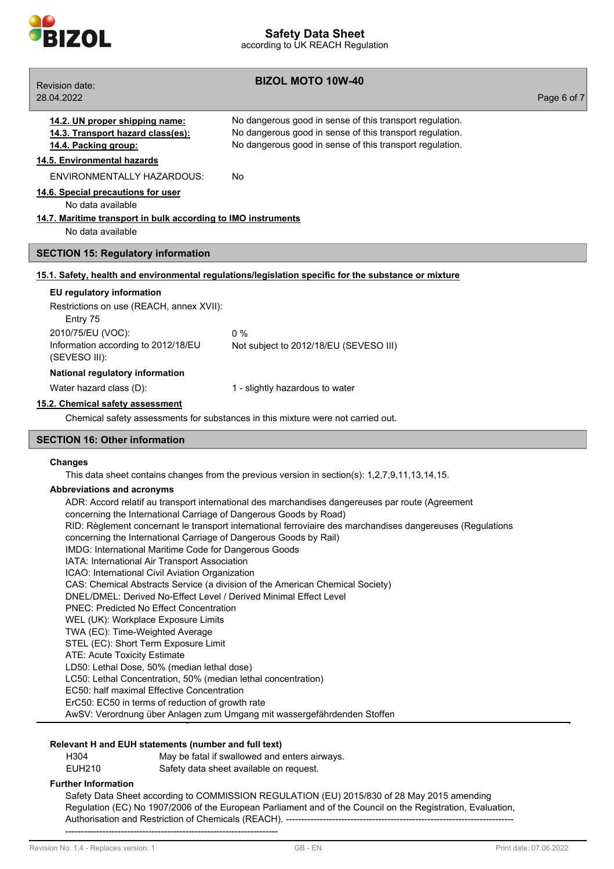

**BIZOL MOTO 10W-40** Revision date: 28.04.2022 Page 6 of 7 **14.2. UN proper shipping name:** No dangerous good in sense of this transport regulation. **14.3. Transport hazard class(es):** No dangerous good in sense of this transport regulation. **14.4. Packing group:** No dangerous good in sense of this transport regulation. **14.5. Environmental hazards** ENVIRONMENTALLY HAZARDOUS: No **14.6. Special precautions for user** No data available **14.7. Maritime transport in bulk according to IMO instruments** No data available **SECTION 15: Regulatory information 15.1. Safety, health and environmental regulations/legislation specific for the substance or mixture EU regulatory information** Restrictions on use (REACH, annex XVII): Entry 75 2010/75/EU (VOC): 0 % Information according to 2012/18/EU (SEVESO III): Not subject to 2012/18/EU (SEVESO III) **National regulatory information** Water hazard class (D):  $1 -$  slightly hazardous to water **15.2. Chemical safety assessment** Chemical safety assessments for substances in this mixture were not carried out. **SECTION 16: Other information Changes** This data sheet contains changes from the previous version in section(s): 1,2,7,9,11,13,14,15. **Abbreviations and acronyms** ADR: Accord relatif au transport international des marchandises dangereuses par route (Agreement concerning the International Carriage of Dangerous Goods by Road) RID: Règlement concernant le transport international ferroviaire des marchandises dangereuses (Regulations concerning the International Carriage of Dangerous Goods by Rail) IMDG: International Maritime Code for Dangerous Goods IATA: International Air Transport Association ICAO: International Civil Aviation Organization CAS: Chemical Abstracts Service (a division of the American Chemical Society) DNEL/DMEL: Derived No-Effect Level / Derived Minimal Effect Level PNEC: Predicted No Effect Concentration

- WEL (UK): Workplace Exposure Limits
- TWA (EC): Time-Weighted Average
- STEL (EC): Short Term Exposure Limit
- ATE: Acute Toxicity Estimate
- LD50: Lethal Dose, 50% (median lethal dose)
- LC50: Lethal Concentration, 50% (median lethal concentration)
- EC50: half maximal Effective Concentration
- ErC50: EC50 in terms of reduction of growth rate

AwSV: Verordnung über Anlagen zum Umgang mit wassergefährdenden Stoffen

## **Relevant H and EUH statements (number and full text)**

| H304   | May be fatal if swallowed and enters airways. |
|--------|-----------------------------------------------|
| EUH210 | Safety data sheet available on request.       |

## **Further Information**

Safety Data Sheet according to COMMISSION REGULATION (EU) 2015/830 of 28 May 2015 amending Regulation (EC) No 1907/2006 of the European Parliament and of the Council on the Registration, Evaluation, Authorisation and Restriction of Chemicals (REACH). -------------------------------------------------------------------------------------------------